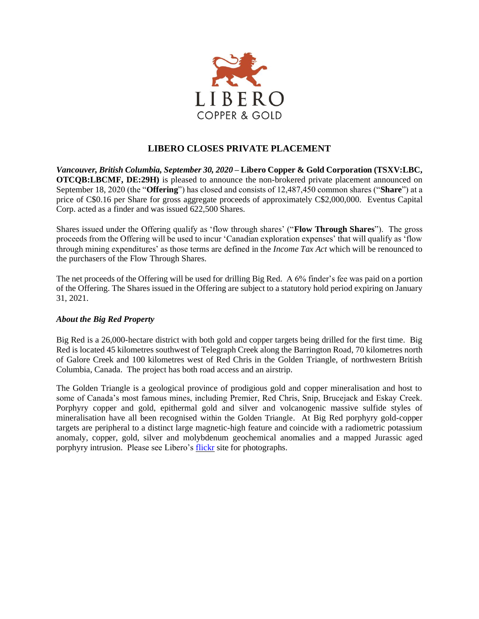

## **LIBERO CLOSES PRIVATE PLACEMENT**

*Vancouver, British Columbia, September 30, 2020* **– Libero Copper & Gold Corporation (TSXV:LBC, OTCQB:LBCMF, DE:29H)** is pleased to announce the non-brokered private placement announced on September 18, 2020 (the "**Offering**") has closed and consists of 12,487,450 common shares ("**Share**") at a price of C\$0.16 per Share for gross aggregate proceeds of approximately C\$2,000,000. Eventus Capital Corp. acted as a finder and was issued 622,500 Shares.

Shares issued under the Offering qualify as 'flow through shares' ("**Flow Through Shares**"). The gross proceeds from the Offering will be used to incur 'Canadian exploration expenses' that will qualify as 'flow through mining expenditures' as those terms are defined in the *Income Tax Act* which will be renounced to the purchasers of the Flow Through Shares.

The net proceeds of the Offering will be used for drilling Big Red. A 6% finder's fee was paid on a portion of the Offering. The Shares issued in the Offering are subject to a statutory hold period expiring on January 31, 2021.

## *About the Big Red Property*

Big Red is a 26,000-hectare district with both gold and copper targets being drilled for the first time. Big Red is located 45 kilometres southwest of Telegraph Creek along the Barrington Road, 70 kilometres north of Galore Creek and 100 kilometres west of Red Chris in the Golden Triangle, of northwestern British Columbia, Canada. The project has both road access and an airstrip.

The Golden Triangle is a geological province of prodigious gold and copper mineralisation and host to some of Canada's most famous mines, including Premier, Red Chris, Snip, Brucejack and Eskay Creek. Porphyry copper and gold, epithermal gold and silver and volcanogenic massive sulfide styles of mineralisation have all been recognised within the Golden Triangle. At Big Red porphyry gold-copper targets are peripheral to a distinct large magnetic-high feature and coincide with a radiometric potassium anomaly, copper, gold, silver and molybdenum geochemical anomalies and a mapped Jurassic aged porphyry intrusion. Please see Libero's [flickr](https://www.flickr.com/photos/150654141@N07/albums) site for photographs.